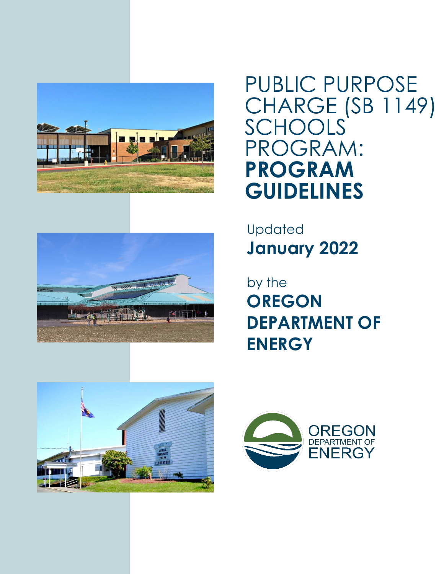



PUBLIC PURPOSE CHARGE (SB 1149) **SCHOOLS** PROGRAM: **PROGRAM GUIDELINES**

Updated **January 2022**

by the **OREGON DEPARTMENT OF ENERGY**



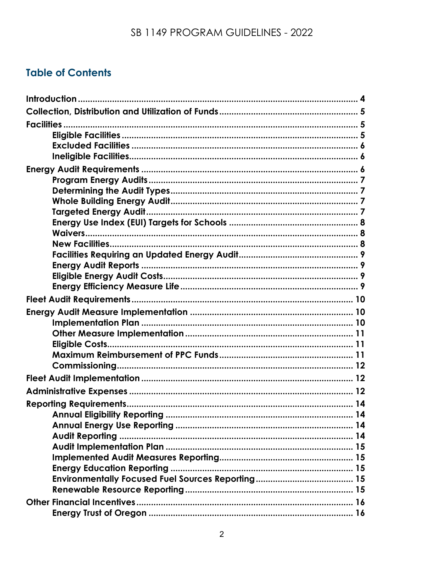# **Table of Contents**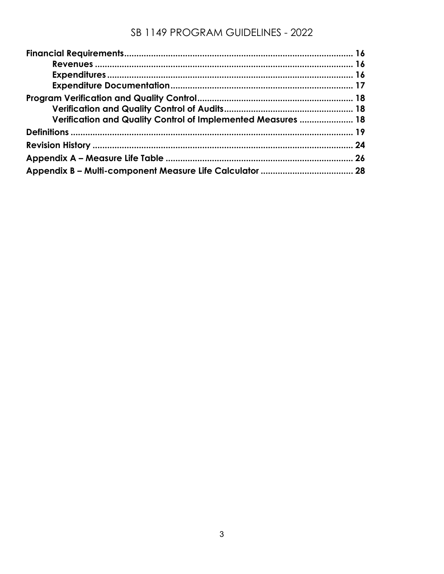| Verification and Quality Control of Implemented Measures  18 |  |
|--------------------------------------------------------------|--|
|                                                              |  |
|                                                              |  |
|                                                              |  |
|                                                              |  |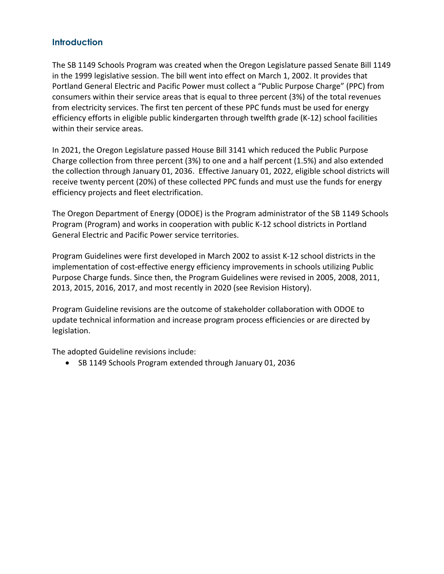### <span id="page-3-0"></span>**Introduction**

The SB 1149 Schools Program was created when the Oregon Legislature passed Senate Bill 1149 in the 1999 legislative session. The bill went into effect on March 1, 2002. It provides that Portland General Electric and Pacific Power must collect a "Public Purpose Charge" (PPC) from consumers within their service areas that is equal to three percent (3%) of the total revenues from electricity services. The first ten percent of these PPC funds must be used for energy efficiency efforts in eligible public kindergarten through twelfth grade (K-12) school facilities within their service areas.

In 2021, the Oregon Legislature passed House Bill 3141 which reduced the Public Purpose Charge collection from three percent (3%) to one and a half percent (1.5%) and also extended the collection through January 01, 2036. Effective January 01, 2022, eligible school districts will receive twenty percent (20%) of these collected PPC funds and must use the funds for energy efficiency projects and fleet electrification.

The Oregon Department of Energy (ODOE) is the Program administrator of the SB 1149 Schools Program (Program) and works in cooperation with public K-12 school districts in Portland General Electric and Pacific Power service territories.

Program Guidelines were first developed in March 2002 to assist K-12 school districts in the implementation of cost-effective energy efficiency improvements in schools utilizing Public Purpose Charge funds. Since then, the Program Guidelines were revised in 2005, 2008, 2011, 2013, 2015, 2016, 2017, and most recently in 2020 (see Revision History).

Program Guideline revisions are the outcome of stakeholder collaboration with ODOE to update technical information and increase program process efficiencies or are directed by legislation.

The adopted Guideline revisions include:

• SB 1149 Schools Program extended through January 01, 2036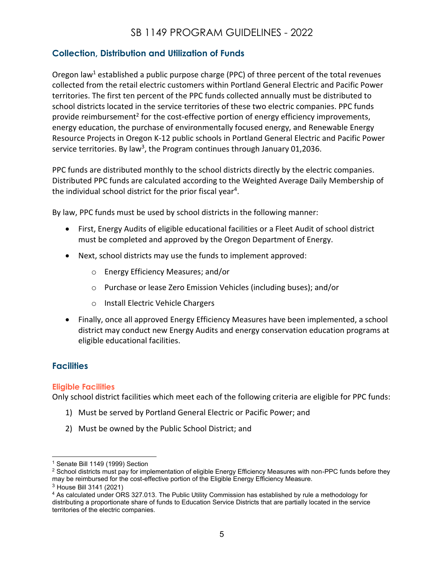### <span id="page-4-0"></span>**Collection, Distribution and Utilization of Funds**

Oregon law<sup>1</sup> established a public purpose charge (PPC) of three percent of the total revenues collected from the retail electric customers within Portland General Electric and Pacific Power territories. The first ten percent of the PPC funds collected annually must be distributed to school districts located in the service territories of these two electric companies. PPC funds provide reimbursement<sup>2</sup> for the cost-effective portion of energy efficiency improvements, energy education, the purchase of environmentally focused energy, and Renewable Energy Resource Projects in Oregon K-12 public schools in Portland General Electric and Pacific Power service territories. By law<sup>3</sup>, the Program continues through January 01,2036.

PPC funds are distributed monthly to the school districts directly by the electric companies. Distributed PPC funds are calculated according to the Weighted Average Daily Membership of the individual school district for the prior fiscal year<sup>4</sup>.

By law, PPC funds must be used by school districts in the following manner:

- First, Energy Audits of eligible educational facilities or a Fleet Audit of school district must be completed and approved by the Oregon Department of Energy.
- Next, school districts may use the funds to implement approved:
	- o Energy Efficiency Measures; and/or
	- o Purchase or lease Zero Emission Vehicles (including buses); and/or
	- o Install Electric Vehicle Chargers
- Finally, once all approved Energy Efficiency Measures have been implemented, a school district may conduct new Energy Audits and energy conservation education programs at eligible educational facilities.

### <span id="page-4-1"></span>**Facilities**

#### <span id="page-4-2"></span>**Eligible Facilities**

Only school district facilities which meet each of the following criteria are eligible for PPC funds:

- 1) Must be served by Portland General Electric or Pacific Power; and
- 2) Must be owned by the Public School District; and

<sup>1</sup> Senate Bill 1149 (1999) Section

<sup>&</sup>lt;sup>2</sup> School districts must pay for implementation of eligible Energy Efficiency Measures with non-PPC funds before they may be reimbursed for the cost-effective portion of the Eligible Energy Efficiency Measure.

<sup>3</sup> House Bill 3141 (2021)

<sup>&</sup>lt;sup>4</sup> As calculated under ORS 327.013. The Public Utility Commission has established by rule a methodology for distributing a proportionate share of funds to Education Service Districts that are partially located in the service territories of the electric companies.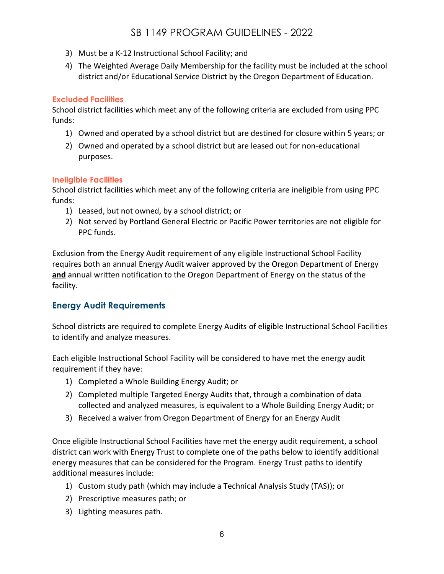- 3) Must be a K-12 Instructional School Facility; and
- 4) The Weighted Average Daily Membership for the facility must be included at the school district and/or Educational Service District by the Oregon Department of Education.

### <span id="page-5-0"></span>**Excluded Facilities**

School district facilities which meet any of the following criteria are excluded from using PPC funds:

- 1) Owned and operated by a school district but are destined for closure within 5 years; or
- 2) Owned and operated by a school district but are leased out for non-educational purposes.

### <span id="page-5-1"></span>**Ineligible Facilities**

School district facilities which meet any of the following criteria are ineligible from using PPC funds:

- 1) Leased, but not owned, by a school district; or
- 2) Not served by Portland General Electric or Pacific Power territories are not eligible for PPC funds.

Exclusion from the Energy Audit requirement of any eligible Instructional School Facility requires both an annual Energy Audit waiver approved by the Oregon Department of Energy **and** annual written notification to the Oregon Department of Energy on the status of the facility.

### <span id="page-5-2"></span>**Energy Audit Requirements**

School districts are required to complete Energy Audits of eligible Instructional School Facilities to identify and analyze measures.

Each eligible Instructional School Facility will be considered to have met the energy audit requirement if they have:

- 1) Completed a Whole Building Energy Audit; or
- 2) Completed multiple Targeted Energy Audits that, through a combination of data collected and analyzed measures, is equivalent to a Whole Building Energy Audit; or
- 3) Received a waiver from Oregon Department of Energy for an Energy Audit

Once eligible Instructional School Facilities have met the energy audit requirement, a school district can work with Energy Trust to complete one of the paths below to identify additional energy measures that can be considered for the Program. Energy Trust paths to identify additional measures include:

- 1) Custom study path (which may include a Technical Analysis Study (TAS)); or
- 2) Prescriptive measures path; or
- 3) Lighting measures path.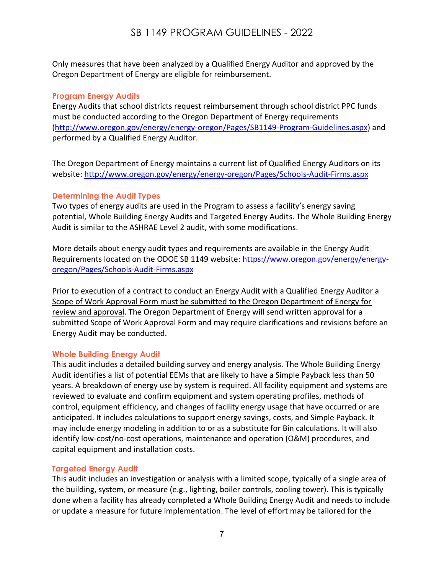Only measures that have been analyzed by a Qualified Energy Auditor and approved by the Oregon Department of Energy are eligible for reimbursement.

#### <span id="page-6-0"></span>**Program Energy Audits**

Energy Audits that school districts request reimbursement through school district PPC funds must be conducted according to the Oregon Department of Energy requirements [\(http://www.oregon.gov/energy/energy-oregon/Pages/SB1149-Program-Guidelines.aspx\)](http://www.oregon.gov/energy/energy-oregon/Pages/SB1149-Program-Guidelines.aspx) and performed by a Qualified Energy Auditor.

The Oregon Department of Energy maintains a current list of Qualified Energy Auditors on its website:<http://www.oregon.gov/energy/energy-oregon/Pages/Schools-Audit-Firms.aspx>

#### <span id="page-6-1"></span>**Determining the Audit Types**

Two types of energy audits are used in the Program to assess a facility's energy saving potential, Whole Building Energy Audits and Targeted Energy Audits. The Whole Building Energy Audit is similar to the ASHRAE Level 2 audit, with some modifications.

More details about energy audit types and requirements are available in the Energy Audit Requirements located on the ODOE SB 1149 website: [https://www.oregon.gov/energy/energy](https://www.oregon.gov/energy/energy-oregon/Pages/Schools-Audit-Firms.aspx)[oregon/Pages/Schools-Audit-Firms.aspx](https://www.oregon.gov/energy/energy-oregon/Pages/Schools-Audit-Firms.aspx)

Prior to execution of a contract to conduct an Energy Audit with a Qualified Energy Auditor a Scope of Work Approval Form must be submitted to the Oregon Department of Energy for review and approval. The Oregon Department of Energy will send written approval for a submitted Scope of Work Approval Form and may require clarifications and revisions before an Energy Audit may be conducted.

#### <span id="page-6-2"></span>**Whole Building Energy Audit**

This audit includes a detailed building survey and energy analysis. The Whole Building Energy Audit identifies a list of potential EEMs that are likely to have a Simple Payback less than 50 years. A breakdown of energy use by system is required. All facility equipment and systems are reviewed to evaluate and confirm equipment and system operating profiles, methods of control, equipment efficiency, and changes of facility energy usage that have occurred or are anticipated. It includes calculations to support energy savings, costs, and Simple Payback. It may include energy modeling in addition to or as a substitute for Bin calculations. It will also identify low-cost/no-cost operations, maintenance and operation (O&M) procedures, and capital equipment and installation costs.

#### <span id="page-6-3"></span>**Targeted Energy Audit**

This audit includes an investigation or analysis with a limited scope, typically of a single area of the building, system, or measure (e.g., lighting, boiler controls, cooling tower). This is typically done when a facility has already completed a Whole Building Energy Audit and needs to include or update a measure for future implementation. The level of effort may be tailored for the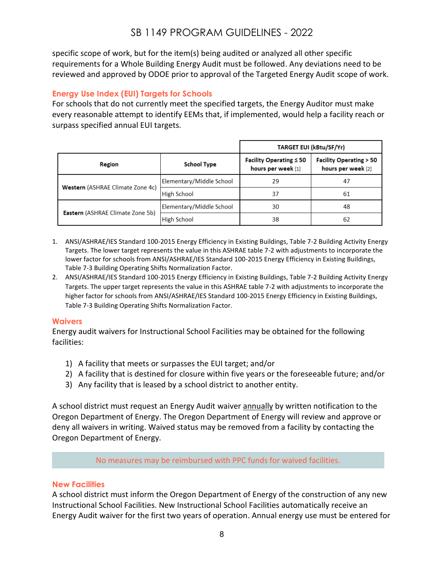specific scope of work, but for the item(s) being audited or analyzed all other specific requirements for a Whole Building Energy Audit must be followed. Any deviations need to be reviewed and approved by ODOE prior to approval of the Targeted Energy Audit scope of work.

#### <span id="page-7-0"></span>**Energy Use Index (EUI) Targets for Schools**

For schools that do not currently meet the specified targets, the Energy Auditor must make every reasonable attempt to identify EEMs that, if implemented, would help a facility reach or surpass specified annual EUI targets.

|                                         |                          | <b>TARGET EUI (kBtu/SF/Yr)</b>                     |                                                         |  |
|-----------------------------------------|--------------------------|----------------------------------------------------|---------------------------------------------------------|--|
| Region                                  | <b>School Type</b>       | Facility Operating $\leq 50$<br>hours per week [1] | <b>Facility Operating &gt; 50</b><br>hours per week [2] |  |
| Western (ASHRAE Climate Zone 4c)        | Elementary/Middle School | 29                                                 | 47                                                      |  |
|                                         | <b>High School</b>       | 37                                                 | 61                                                      |  |
|                                         | Elementary/Middle School | 30                                                 | 48                                                      |  |
| <b>Eastern (ASHRAE Climate Zone 5b)</b> | <b>High School</b>       | 38                                                 | 62                                                      |  |

- 1. ANSI/ASHRAE/IES Standard 100-2015 Energy Efficiency in Existing Buildings, Table 7-2 Building Activity Energy Targets. The lower target represents the value in this ASHRAE table 7-2 with adjustments to incorporate the lower factor for schools from ANSI/ASHRAE/IES Standard 100-2015 Energy Efficiency in Existing Buildings, Table 7-3 Building Operating Shifts Normalization Factor.
- 2. ANSI/ASHRAE/IES Standard 100-2015 Energy Efficiency in Existing Buildings, Table 7-2 Building Activity Energy Targets. The upper target represents the value in this ASHRAE table 7-2 with adjustments to incorporate the higher factor for schools from ANSI/ASHRAE/IES Standard 100-2015 Energy Efficiency in Existing Buildings, Table 7-3 Building Operating Shifts Normalization Factor.

#### <span id="page-7-1"></span>**Waivers**

Energy audit waivers for Instructional School Facilities may be obtained for the following facilities:

- 1) A facility that meets or surpasses the EUI target; and/or
- 2) A facility that is destined for closure within five years or the foreseeable future; and/or
- 3) Any facility that is leased by a school district to another entity.

A school district must request an Energy Audit waiver **annually** by written notification to the Oregon Department of Energy. The Oregon Department of Energy will review and approve or deny all waivers in writing. Waived status may be removed from a facility by contacting the Oregon Department of Energy.

No measures may be reimbursed with PPC funds for waived facilities.

#### <span id="page-7-2"></span>**New Facilities**

A school district must inform the Oregon Department of Energy of the construction of any new Instructional School Facilities. New Instructional School Facilities automatically receive an Energy Audit waiver for the first two years of operation. Annual energy use must be entered for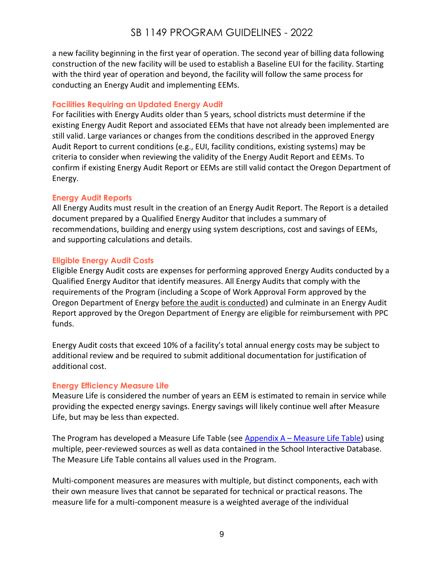a new facility beginning in the first year of operation. The second year of billing data following construction of the new facility will be used to establish a Baseline EUI for the facility. Starting with the third year of operation and beyond, the facility will follow the same process for conducting an Energy Audit and implementing EEMs.

### <span id="page-8-0"></span>**Facilities Requiring an Updated Energy Audit**

For facilities with Energy Audits older than 5 years, school districts must determine if the existing Energy Audit Report and associated EEMs that have not already been implemented are still valid. Large variances or changes from the conditions described in the approved Energy Audit Report to current conditions (e.g., EUI, facility conditions, existing systems) may be criteria to consider when reviewing the validity of the Energy Audit Report and EEMs. To confirm if existing Energy Audit Report or EEMs are still valid contact the Oregon Department of Energy.

#### <span id="page-8-1"></span>**Energy Audit Reports**

All Energy Audits must result in the creation of an Energy Audit Report. The Report is a detailed document prepared by a Qualified Energy Auditor that includes a summary of recommendations, building and energy using system descriptions, cost and savings of EEMs, and supporting calculations and details.

#### <span id="page-8-2"></span>**Eligible Energy Audit Costs**

Eligible Energy Audit costs are expenses for performing approved Energy Audits conducted by a Qualified Energy Auditor that identify measures. All Energy Audits that comply with the requirements of the Program (including a Scope of Work Approval Form approved by the Oregon Department of Energy before the audit is conducted) and culminate in an Energy Audit Report approved by the Oregon Department of Energy are eligible for reimbursement with PPC funds.

Energy Audit costs that exceed 10% of a facility's total annual energy costs may be subject to additional review and be required to submit additional documentation for justification of additional cost.

#### <span id="page-8-3"></span>**Energy Efficiency Measure Life**

Measure Life is considered the number of years an EEM is estimated to remain in service while providing the expected energy savings. Energy savings will likely continue well after Measure Life, but may be less than expected.

The Program has developed a Measure Life Table (see Appendix A - [Measure Life Table\)](#page-25-0) using multiple, peer-reviewed sources as well as data contained in the School Interactive Database. The Measure Life Table contains all values used in the Program.

Multi-component measures are measures with multiple, but distinct components, each with their own measure lives that cannot be separated for technical or practical reasons. The measure life for a multi-component measure is a weighted average of the individual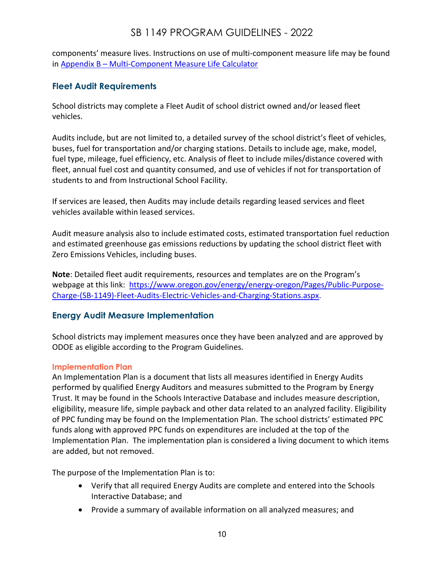components' measure lives. Instructions on use of multi-component measure life may be found in Appendix B – [Multi-Component Measure Life Calculator](#page-27-0)

### <span id="page-9-0"></span>**Fleet Audit Requirements**

School districts may complete a Fleet Audit of school district owned and/or leased fleet vehicles.

Audits include, but are not limited to, a detailed survey of the school district's fleet of vehicles, buses, fuel for transportation and/or charging stations. Details to include age, make, model, fuel type, mileage, fuel efficiency, etc. Analysis of fleet to include miles/distance covered with fleet, annual fuel cost and quantity consumed, and use of vehicles if not for transportation of students to and from Instructional School Facility.

If services are leased, then Audits may include details regarding leased services and fleet vehicles available within leased services.

Audit measure analysis also to include estimated costs, estimated transportation fuel reduction and estimated greenhouse gas emissions reductions by updating the school district fleet with Zero Emissions Vehicles, including buses.

**Note**: Detailed fleet audit requirements, resources and templates are on the Program's webpage at this link: [https://www.oregon.gov/energy/energy-oregon/Pages/Public-Purpose-](https://www.oregon.gov/energy/energy-oregon/Pages/Public-Purpose-Charge-(SB-1149)-Fleet-Audits-Electric-Vehicles-and-Charging-Stations.aspx)[Charge-\(SB-1149\)-Fleet-Audits-Electric-Vehicles-and-Charging-Stations.aspx.](https://www.oregon.gov/energy/energy-oregon/Pages/Public-Purpose-Charge-(SB-1149)-Fleet-Audits-Electric-Vehicles-and-Charging-Stations.aspx)

### <span id="page-9-1"></span>**Energy Audit Measure Implementation**

School districts may implement measures once they have been analyzed and are approved by ODOE as eligible according to the Program Guidelines.

#### <span id="page-9-2"></span>**Implementation Plan**

An Implementation Plan is a document that lists all measures identified in Energy Audits performed by qualified Energy Auditors and measures submitted to the Program by Energy Trust. It may be found in the Schools Interactive Database and includes measure description, eligibility, measure life, simple payback and other data related to an analyzed facility. Eligibility of PPC funding may be found on the Implementation Plan. The school districts' estimated PPC funds along with approved PPC funds on expenditures are included at the top of the Implementation Plan. The implementation plan is considered a living document to which items are added, but not removed.

The purpose of the Implementation Plan is to:

- Verify that all required Energy Audits are complete and entered into the Schools Interactive Database; and
- Provide a summary of available information on all analyzed measures; and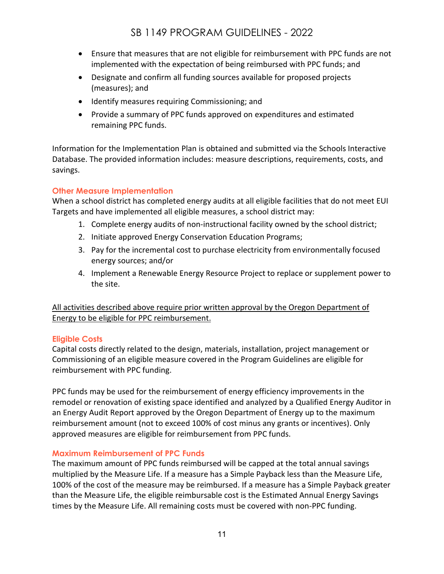- Ensure that measures that are not eligible for reimbursement with PPC funds are not implemented with the expectation of being reimbursed with PPC funds; and
- Designate and confirm all funding sources available for proposed projects (measures); and
- Identify measures requiring Commissioning; and
- Provide a summary of PPC funds approved on expenditures and estimated remaining PPC funds.

Information for the Implementation Plan is obtained and submitted via the Schools Interactive Database. The provided information includes: measure descriptions, requirements, costs, and savings.

### <span id="page-10-0"></span>**Other Measure Implementation**

When a school district has completed energy audits at all eligible facilities that do not meet EUI Targets and have implemented all eligible measures, a school district may:

- 1. Complete energy audits of non-instructional facility owned by the school district;
- 2. Initiate approved Energy Conservation Education Programs;
- 3. Pay for the incremental cost to purchase electricity from environmentally focused energy sources; and/or
- 4. Implement a Renewable Energy Resource Project to replace or supplement power to the site.

All activities described above require prior written approval by the Oregon Department of Energy to be eligible for PPC reimbursement.

### <span id="page-10-1"></span>**Eligible Costs**

Capital costs directly related to the design, materials, installation, project management or Commissioning of an eligible measure covered in the Program Guidelines are eligible for reimbursement with PPC funding.

PPC funds may be used for the reimbursement of energy efficiency improvements in the remodel or renovation of existing space identified and analyzed by a Qualified Energy Auditor in an Energy Audit Report approved by the Oregon Department of Energy up to the maximum reimbursement amount (not to exceed 100% of cost minus any grants or incentives). Only approved measures are eligible for reimbursement from PPC funds.

#### <span id="page-10-2"></span>**Maximum Reimbursement of PPC Funds**

The maximum amount of PPC funds reimbursed will be capped at the total annual savings multiplied by the Measure Life. If a measure has a Simple Payback less than the Measure Life, 100% of the cost of the measure may be reimbursed. If a measure has a Simple Payback greater than the Measure Life, the eligible reimbursable cost is the Estimated Annual Energy Savings times by the Measure Life. All remaining costs must be covered with non-PPC funding.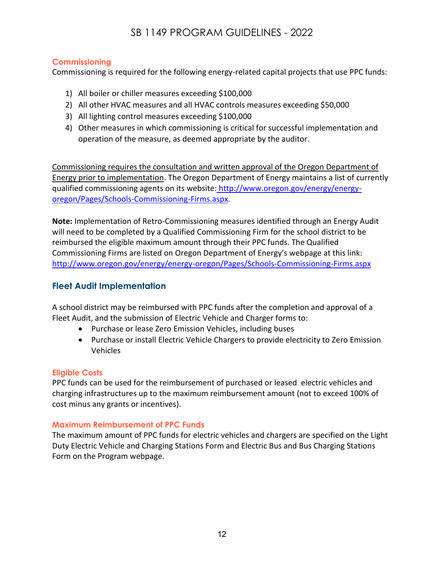#### <span id="page-11-3"></span><span id="page-11-0"></span>**Commissioning**

Commissioning is required for the following energy-related capital projects that use PPC funds:

- 1) All boiler or chiller measures exceeding \$100,000
- 2) All other HVAC measures and all HVAC controls measures exceeding \$50,000
- 3) All lighting control measures exceeding \$100,000
- 4) Other measures in which commissioning is critical for successful implementation and operation of the measure, as deemed appropriate by the auditor.

Commissioning requires the consultation and written approval of the Oregon Department of Energy prior to implementation. The Oregon Department of Energy maintains a list of currently qualified commissioning agents on its website: http://www.oregon.gov/energy/energyoregon/Pages/Schools-Commissioning-Firms.aspx.

**Note:** Implementation of Retro-Commissioning measures identified through an Energy Audit will need to be completed by a Qualified Commissioning Firm for the school district to be reimbursed the eligible maximum amount through their PPC funds. The Qualified Commissioning Firms are listed on Oregon Department of Energy's webpage at this link: <http://www.oregon.gov/energy/energy-oregon/Pages/Schools-Commissioning-Firms.aspx>

### <span id="page-11-1"></span>**Fleet Audit Implementation**

A school district may be reimbursed with PPC funds after the completion and approval of a Fleet Audit, and the submission of Electric Vehicle and Charger forms to:

- Purchase or lease Zero Emission Vehicles, including buses
- Purchase or install Electric Vehicle Chargers to provide electricity to Zero Emission Vehicles

#### <span id="page-11-2"></span>**Eligible Costs**

PPC funds can be used for the reimbursement of purchased or leased electric vehicles and charging infrastructures up to the maximum reimbursement amount (not to exceed 100% of cost minus any grants or incentives).

### **Maximum Reimbursement of PPC Funds**

The maximum amount of PPC funds for electric vehicles and chargers are specified on the Light Duty Electric Vehicle and Charging Stations Form and Electric Bus and Bus Charging Stations Form on the Program webpage.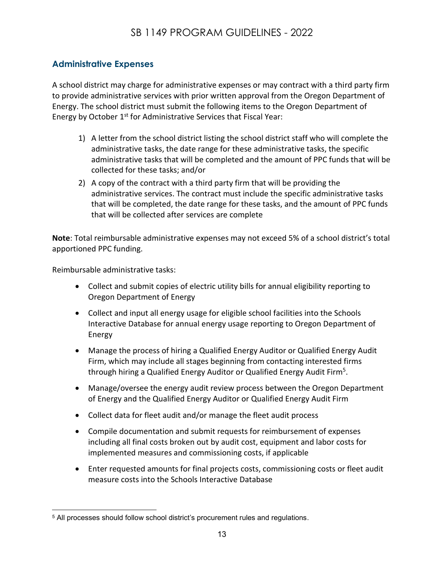### **Administrative Expenses**

A school district may charge for administrative expenses or may contract with a third party firm to provide administrative services with prior written approval from the Oregon Department of Energy. The school district must submit the following items to the Oregon Department of Energy by October 1<sup>st</sup> for Administrative Services that Fiscal Year:

- 1) A letter from the school district listing the school district staff who will complete the administrative tasks, the date range for these administrative tasks, the specific administrative tasks that will be completed and the amount of PPC funds that will be collected for these tasks; and/or
- 2) A copy of the contract with a third party firm that will be providing the administrative services. The contract must include the specific administrative tasks that will be completed, the date range for these tasks, and the amount of PPC funds that will be collected after services are complete

**Note**: Total reimbursable administrative expenses may not exceed 5% of a school district's total apportioned PPC funding.

Reimbursable administrative tasks:

- Collect and submit copies of electric utility bills for annual eligibility reporting to Oregon Department of Energy
- Collect and input all energy usage for eligible school facilities into the Schools Interactive Database for annual energy usage reporting to Oregon Department of Energy
- Manage the process of hiring a Qualified Energy Auditor or Qualified Energy Audit Firm, which may include all stages beginning from contacting interested firms through hiring a Qualified Energy Auditor or Qualified Energy Audit Firm<sup>5</sup>.
- Manage/oversee the energy audit review process between the Oregon Department of Energy and the Qualified Energy Auditor or Qualified Energy Audit Firm
- Collect data for fleet audit and/or manage the fleet audit process
- Compile documentation and submit requests for reimbursement of expenses including all final costs broken out by audit cost, equipment and labor costs for implemented measures and commissioning costs, if applicable
- Enter requested amounts for final projects costs, commissioning costs or fleet audit measure costs into the Schools Interactive Database

<sup>5</sup> All processes should follow school district's procurement rules and regulations.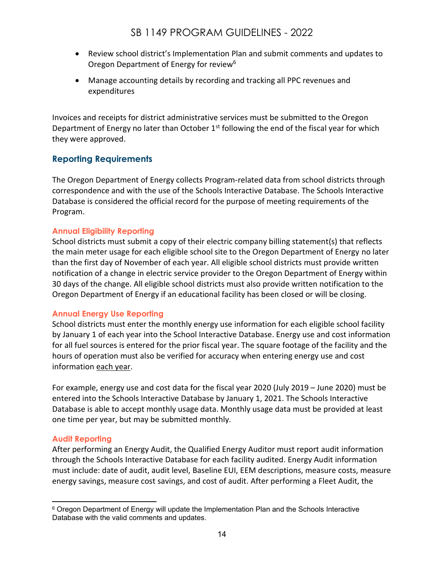- Review school district's Implementation Plan and submit comments and updates to Oregon Department of Energy for review<sup>6</sup>
- Manage accounting details by recording and tracking all PPC revenues and expenditures

Invoices and receipts for district administrative services must be submitted to the Oregon Department of Energy no later than October  $1<sup>st</sup>$  following the end of the fiscal year for which they were approved.

### <span id="page-13-0"></span>**Reporting Requirements**

The Oregon Department of Energy collects Program-related data from school districts through correspondence and with the use of the Schools Interactive Database. The Schools Interactive Database is considered the official record for the purpose of meeting requirements of the Program.

#### <span id="page-13-1"></span>**Annual Eligibility Reporting**

School districts must submit a copy of their electric company billing statement(s) that reflects the main meter usage for each eligible school site to the Oregon Department of Energy no later than the first day of November of each year. All eligible school districts must provide written notification of a change in electric service provider to the Oregon Department of Energy within 30 days of the change. All eligible school districts must also provide written notification to the Oregon Department of Energy if an educational facility has been closed or will be closing.

#### <span id="page-13-2"></span>**Annual Energy Use Reporting**

School districts must enter the monthly energy use information for each eligible school facility by January 1 of each year into the School Interactive Database. Energy use and cost information for all fuel sources is entered for the prior fiscal year. The square footage of the facility and the hours of operation must also be verified for accuracy when entering energy use and cost information each year.

For example, energy use and cost data for the fiscal year 2020 (July 2019 – June 2020) must be entered into the Schools Interactive Database by January 1, 2021. The Schools Interactive Database is able to accept monthly usage data. Monthly usage data must be provided at least one time per year, but may be submitted monthly.

#### <span id="page-13-3"></span>**Audit Reporting**

After performing an Energy Audit, the Qualified Energy Auditor must report audit information through the Schools Interactive Database for each facility audited. Energy Audit information must include: date of audit, audit level, Baseline EUI, EEM descriptions, measure costs, measure energy savings, measure cost savings, and cost of audit. After performing a Fleet Audit, the

<sup>&</sup>lt;sup>6</sup> Oregon Department of Energy will update the Implementation Plan and the Schools Interactive Database with the valid comments and updates.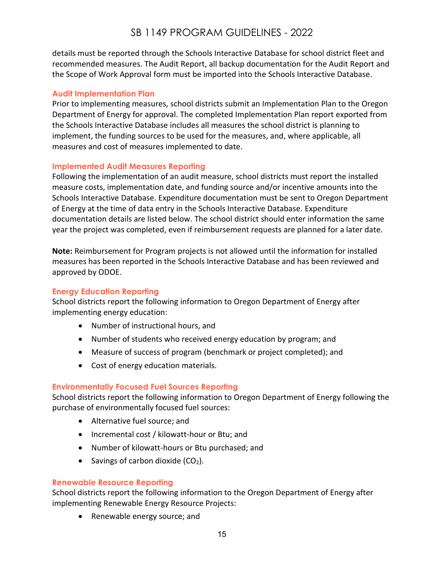details must be reported through the Schools Interactive Database for school district fleet and recommended measures. The Audit Report, all backup documentation for the Audit Report and the Scope of Work Approval form must be imported into the Schools Interactive Database.

#### <span id="page-14-0"></span>**Audit Implementation Plan**

Prior to implementing measures, school districts submit an Implementation Plan to the Oregon Department of Energy for approval. The completed Implementation Plan report exported from the Schools Interactive Database includes all measures the school district is planning to implement, the funding sources to be used for the measures, and, where applicable, all measures and cost of measures implemented to date.

#### <span id="page-14-1"></span>**Implemented Audit Measures Reporting**

Following the implementation of an audit measure, school districts must report the installed measure costs, implementation date, and funding source and/or incentive amounts into the Schools Interactive Database. Expenditure documentation must be sent to Oregon Department of Energy at the time of data entry in the Schools Interactive Database. Expenditure documentation details are listed below. The school district should enter information the same year the project was completed, even if reimbursement requests are planned for a later date.

**Note:** Reimbursement for Program projects is not allowed until the information for installed measures has been reported in the Schools Interactive Database and has been reviewed and approved by ODOE.

#### <span id="page-14-2"></span>**Energy Education Reporting**

School districts report the following information to Oregon Department of Energy after implementing energy education:

- Number of instructional hours, and
- Number of students who received energy education by program; and
- Measure of success of program (benchmark or project completed); and
- Cost of energy education materials.

#### <span id="page-14-3"></span>**Environmentally Focused Fuel Sources Reporting**

School districts report the following information to Oregon Department of Energy following the purchase of environmentally focused fuel sources:

- Alternative fuel source; and
- Incremental cost / kilowatt-hour or Btu; and
- Number of kilowatt-hours or Btu purchased; and
- Savings of carbon dioxide  $(CO<sub>2</sub>)$ .

#### <span id="page-14-4"></span>**Renewable Resource Reporting**

School districts report the following information to the Oregon Department of Energy after implementing Renewable Energy Resource Projects:

• Renewable energy source; and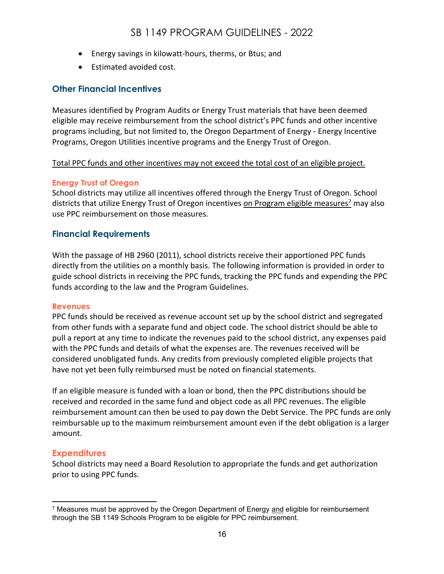- Energy savings in kilowatt-hours, therms, or Btus; and
- Estimated avoided cost.

#### <span id="page-15-0"></span>**Other Financial Incentives**

Measures identified by Program Audits or Energy Trust materials that have been deemed eligible may receive reimbursement from the school district's PPC funds and other incentive programs including, but not limited to, the Oregon Department of Energy - Energy Incentive Programs, Oregon Utilities incentive programs and the Energy Trust of Oregon.

#### Total PPC funds and other incentives may not exceed the total cost of an eligible project.

#### <span id="page-15-1"></span>**Energy Trust of Oregon**

School districts may utilize all incentives offered through the Energy Trust of Oregon. School districts that utilize Energy Trust of Oregon incentives on Program eligible measures<sup>7</sup> may also use PPC reimbursement on those measures.

#### <span id="page-15-2"></span>**Financial Requirements**

With the passage of HB 2960 (2011), school districts receive their apportioned PPC funds directly from the utilities on a monthly basis. The following information is provided in order to guide school districts in receiving the PPC funds, tracking the PPC funds and expending the PPC funds according to the law and the Program Guidelines.

#### <span id="page-15-3"></span>**Revenues**

PPC funds should be received as revenue account set up by the school district and segregated from other funds with a separate fund and object code. The school district should be able to pull a report at any time to indicate the revenues paid to the school district, any expenses paid with the PPC funds and details of what the expenses are. The revenues received will be considered unobligated funds. Any credits from previously completed eligible projects that have not yet been fully reimbursed must be noted on financial statements.

If an eligible measure is funded with a loan or bond, then the PPC distributions should be received and recorded in the same fund and object code as all PPC revenues. The eligible reimbursement amount can then be used to pay down the Debt Service. The PPC funds are only reimbursable up to the maximum reimbursement amount even if the debt obligation is a larger amount.

#### <span id="page-15-4"></span>**Expenditures**

School districts may need a Board Resolution to appropriate the funds and get authorization prior to using PPC funds.

<sup>&</sup>lt;sup>7</sup> Measures must be approved by the Oregon Department of Energy and eligible for reimbursement through the SB 1149 Schools Program to be eligible for PPC reimbursement.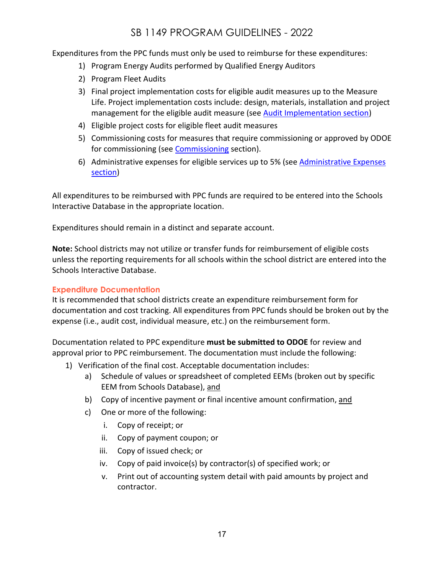Expenditures from the PPC funds must only be used to reimburse for these expenditures:

- 1) Program Energy Audits performed by Qualified Energy Auditors
- 2) Program Fleet Audits
- 3) Final project implementation costs for eligible audit measures up to the Measure Life. Project implementation costs include: design, materials, installation and project management for the eligible audit measure (see [Audit Implementation section\)](#page-14-0)
- 4) Eligible project costs for eligible fleet audit measures
- 5) Commissioning costs for measures that require commissioning or approved by ODOE for commissioning (see [Commissioning](#page-11-3) section).
- 6) Administrative expenses for eligible services up to 5% (see Administrative Expenses [section\)](#page-11-1)

All expenditures to be reimbursed with PPC funds are required to be entered into the Schools Interactive Database in the appropriate location.

Expenditures should remain in a distinct and separate account.

**Note:** School districts may not utilize or transfer funds for reimbursement of eligible costs unless the reporting requirements for all schools within the school district are entered into the Schools Interactive Database.

#### <span id="page-16-0"></span>**Expenditure Documentation**

It is recommended that school districts create an expenditure reimbursement form for documentation and cost tracking. All expenditures from PPC funds should be broken out by the expense (i.e., audit cost, individual measure, etc.) on the reimbursement form.

Documentation related to PPC expenditure **must be submitted to ODOE** for review and approval prior to PPC reimbursement. The documentation must include the following:

- 1) Verification of the final cost. Acceptable documentation includes:
	- a) Schedule of values or spreadsheet of completed EEMs (broken out by specific EEM from Schools Database), and
	- b) Copy of incentive payment or final incentive amount confirmation, and
	- c) One or more of the following:
		- i. Copy of receipt; or
		- ii. Copy of payment coupon; or
		- iii. Copy of issued check; or
		- iv. Copy of paid invoice(s) by contractor(s) of specified work; or
		- v. Print out of accounting system detail with paid amounts by project and contractor.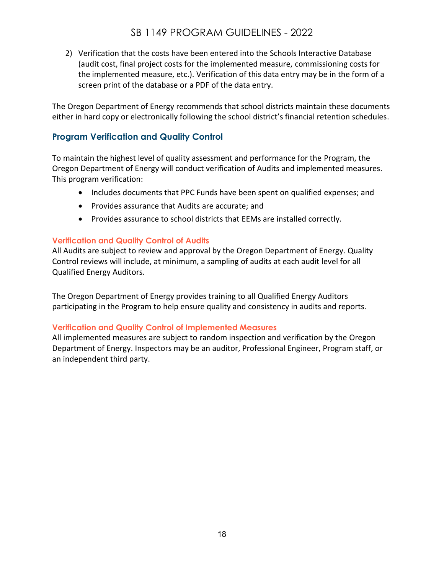2) Verification that the costs have been entered into the Schools Interactive Database (audit cost, final project costs for the implemented measure, commissioning costs for the implemented measure, etc.). Verification of this data entry may be in the form of a screen print of the database or a PDF of the data entry.

The Oregon Department of Energy recommends that school districts maintain these documents either in hard copy or electronically following the school district's financial retention schedules.

### <span id="page-17-0"></span>**Program Verification and Quality Control**

To maintain the highest level of quality assessment and performance for the Program, the Oregon Department of Energy will conduct verification of Audits and implemented measures. This program verification:

- Includes documents that PPC Funds have been spent on qualified expenses; and
- Provides assurance that Audits are accurate; and
- Provides assurance to school districts that EEMs are installed correctly.

#### <span id="page-17-1"></span>**Verification and Quality Control of Audits**

All Audits are subject to review and approval by the Oregon Department of Energy. Quality Control reviews will include, at minimum, a sampling of audits at each audit level for all Qualified Energy Auditors.

The Oregon Department of Energy provides training to all Qualified Energy Auditors participating in the Program to help ensure quality and consistency in audits and reports.

#### <span id="page-17-2"></span>**Verification and Quality Control of Implemented Measures**

All implemented measures are subject to random inspection and verification by the Oregon Department of Energy. Inspectors may be an auditor, Professional Engineer, Program staff, or an independent third party.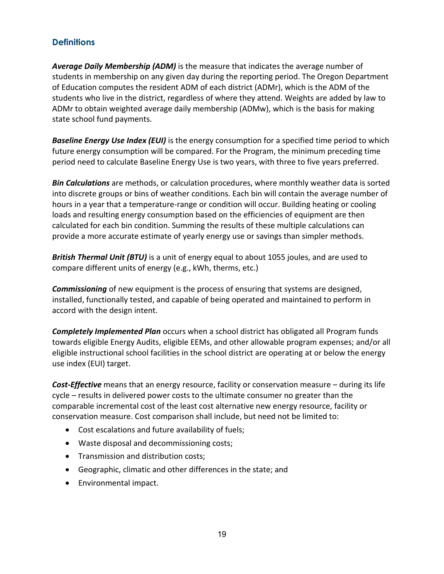### <span id="page-18-0"></span>**Definitions**

*Average Daily Membership (ADM)* is the measure that indicates the average number of students in membership on any given day during the reporting period. The Oregon Department of Education computes the resident ADM of each district (ADMr), which is the ADM of the students who live in the district, regardless of where they attend. Weights are added by law to ADMr to obtain weighted average daily membership (ADMw), which is the basis for making state school fund payments.

*Baseline Energy Use Index (EUI)* is the energy consumption for a specified time period to which future energy consumption will be compared. For the Program, the minimum preceding time period need to calculate Baseline Energy Use is two years, with three to five years preferred.

*Bin Calculations* are methods, or calculation procedures, where monthly weather data is sorted into discrete groups or bins of weather conditions. Each bin will contain the average number of hours in a year that a temperature-range or condition will occur. Building heating or cooling loads and resulting energy consumption based on the efficiencies of equipment are then calculated for each bin condition. Summing the results of these multiple calculations can provide a more accurate estimate of yearly energy use or savings than simpler methods.

*British Thermal Unit (BTU)* is a unit of energy equal to about 1055 joules, and are used to compare different units of energy (e.g., kWh, therms, etc.)

*Commissioning* of new equipment is the process of ensuring that systems are designed, installed, functionally tested, and capable of being operated and maintained to perform in accord with the design intent.

*Completely Implemented Plan* occurs when a school district has obligated all Program funds towards eligible Energy Audits, eligible EEMs, and other allowable program expenses; and/or all eligible instructional school facilities in the school district are operating at or below the energy use index (EUI) target.

*Cost-Effective* means that an energy resource, facility or conservation measure – during its life cycle – results in delivered power costs to the ultimate consumer no greater than the comparable incremental cost of the least cost alternative new energy resource, facility or conservation measure. Cost comparison shall include, but need not be limited to:

- Cost escalations and future availability of fuels;
- Waste disposal and decommissioning costs;
- Transmission and distribution costs;
- Geographic, climatic and other differences in the state; and
- Environmental impact.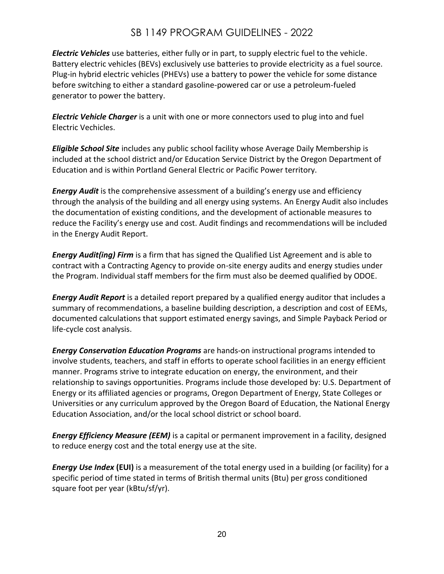*Electric Vehicles* use batteries, either fully or in part, to supply electric fuel to the vehicle. Battery electric vehicles (BEVs) exclusively use batteries to provide electricity as a fuel source. Plug-in hybrid electric vehicles (PHEVs) use a battery to power the vehicle for some distance before switching to either a standard gasoline-powered car or use a petroleum-fueled generator to power the battery.

*Electric Vehicle Charger* is a unit with one or more connectors used to plug into and fuel Electric Vechicles.

*Eligible School Site* includes any public school facility whose Average Daily Membership is included at the school district and/or Education Service District by the Oregon Department of Education and is within Portland General Electric or Pacific Power territory.

*Energy Audit* is the comprehensive assessment of a building's energy use and efficiency through the analysis of the building and all energy using systems. An Energy Audit also includes the documentation of existing conditions, and the development of actionable measures to reduce the Facility's energy use and cost. Audit findings and recommendations will be included in the Energy Audit Report.

*Energy Audit(ing) Firm* is a firm that has signed the Qualified List Agreement and is able to contract with a Contracting Agency to provide on-site energy audits and energy studies under the Program. Individual staff members for the firm must also be deemed qualified by ODOE.

*Energy Audit Report* is a detailed report prepared by a qualified energy auditor that includes a summary of recommendations, a baseline building description, a description and cost of EEMs, documented calculations that support estimated energy savings, and Simple Payback Period or life-cycle cost analysis.

*Energy Conservation Education Programs* are hands-on instructional programs intended to involve students, teachers, and staff in efforts to operate school facilities in an energy efficient manner. Programs strive to integrate education on energy, the environment, and their relationship to savings opportunities. Programs include those developed by: U.S. Department of Energy or its affiliated agencies or programs, Oregon Department of Energy, State Colleges or Universities or any curriculum approved by the Oregon Board of Education, the National Energy Education Association, and/or the local school district or school board.

*Energy Efficiency Measure (EEM)* is a capital or permanent improvement in a facility, designed to reduce energy cost and the total energy use at the site.

*Energy Use Index* **(EUI)** is a measurement of the total energy used in a building (or facility) for a specific period of time stated in terms of British thermal units (Btu) per gross conditioned square foot per year (kBtu/sf/yr).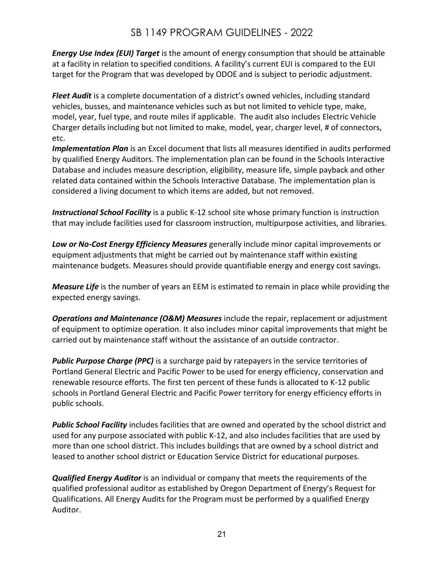*Energy Use Index (EUI) Target* is the amount of energy consumption that should be attainable at a facility in relation to specified conditions. A facility's current EUI is compared to the EUI target for the Program that was developed by ODOE and is subject to periodic adjustment.

*Fleet Audit* is a complete documentation of a district's owned vehicles, including standard vehicles, busses, and maintenance vehicles such as but not limited to vehicle type, make, model, year, fuel type, and route miles if applicable. The audit also includes Electric Vehicle Charger details including but not limited to make, model, year, charger level, # of connectors, etc.

*Implementation Plan* is an Excel document that lists all measures identified in audits performed by qualified Energy Auditors. The implementation plan can be found in the Schools Interactive Database and includes measure description, eligibility, measure life, simple payback and other related data contained within the Schools Interactive Database. The implementation plan is considered a living document to which items are added, but not removed.

*Instructional School Facility* is a public K-12 school site whose primary function is instruction that may include facilities used for classroom instruction, multipurpose activities, and libraries.

*Low or No-Cost Energy Efficiency Measures* generally include minor capital improvements or equipment adjustments that might be carried out by maintenance staff within existing maintenance budgets. Measures should provide quantifiable energy and energy cost savings.

*Measure Life* is the number of years an EEM is estimated to remain in place while providing the expected energy savings.

*Operations and Maintenance (O&M) Measures* include the repair, replacement or adjustment of equipment to optimize operation. It also includes minor capital improvements that might be carried out by maintenance staff without the assistance of an outside contractor.

*Public Purpose Charge (PPC)* is a surcharge paid by ratepayers in the service territories of Portland General Electric and Pacific Power to be used for energy efficiency, conservation and renewable resource efforts. The first ten percent of these funds is allocated to K-12 public schools in Portland General Electric and Pacific Power territory for energy efficiency efforts in public schools.

*Public School Facility* includes facilities that are owned and operated by the school district and used for any purpose associated with public K-12, and also includes facilities that are used by more than one school district. This includes buildings that are owned by a school district and leased to another school district or Education Service District for educational purposes.

*Qualified Energy Auditor* is an individual or company that meets the requirements of the qualified professional auditor as established by Oregon Department of Energy's Request for Qualifications. All Energy Audits for the Program must be performed by a qualified Energy Auditor.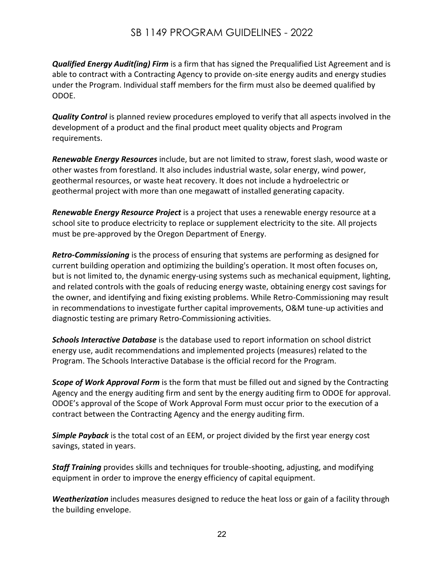*Qualified Energy Audit(ing) Firm* is a firm that has signed the Prequalified List Agreement and is able to contract with a Contracting Agency to provide on-site energy audits and energy studies under the Program. Individual staff members for the firm must also be deemed qualified by ODOE.

*Quality Control* is planned review procedures employed to verify that all aspects involved in the development of a product and the final product meet quality objects and Program requirements.

*Renewable Energy Resources* include, but are not limited to straw, forest slash, wood waste or other wastes from forestland. It also includes industrial waste, solar energy, wind power, geothermal resources, or waste heat recovery. It does not include a hydroelectric or geothermal project with more than one megawatt of installed generating capacity.

*Renewable Energy Resource Project* is a project that uses a renewable energy resource at a school site to produce electricity to replace or supplement electricity to the site. All projects must be pre-approved by the Oregon Department of Energy.

*Retro-Commissioning* is the process of ensuring that systems are performing as designed for current building operation and optimizing the building's operation. It most often focuses on, but is not limited to, the dynamic energy-using systems such as mechanical equipment, lighting, and related controls with the goals of reducing energy waste, obtaining energy cost savings for the owner, and identifying and fixing existing problems. While Retro-Commissioning may result in recommendations to investigate further capital improvements, O&M tune-up activities and diagnostic testing are primary Retro-Commissioning activities.

*Schools Interactive Database* is the database used to report information on school district energy use, audit recommendations and implemented projects (measures) related to the Program. The Schools Interactive Database is the official record for the Program.

*Scope of Work Approval Form* is the form that must be filled out and signed by the Contracting Agency and the energy auditing firm and sent by the energy auditing firm to ODOE for approval. ODOE's approval of the Scope of Work Approval Form must occur prior to the execution of a contract between the Contracting Agency and the energy auditing firm.

*Simple Payback* is the total cost of an EEM, or project divided by the first year energy cost savings, stated in years.

*Staff Training* provides skills and techniques for trouble-shooting, adjusting, and modifying equipment in order to improve the energy efficiency of capital equipment.

*Weatherization* includes measures designed to reduce the heat loss or gain of a facility through the building envelope.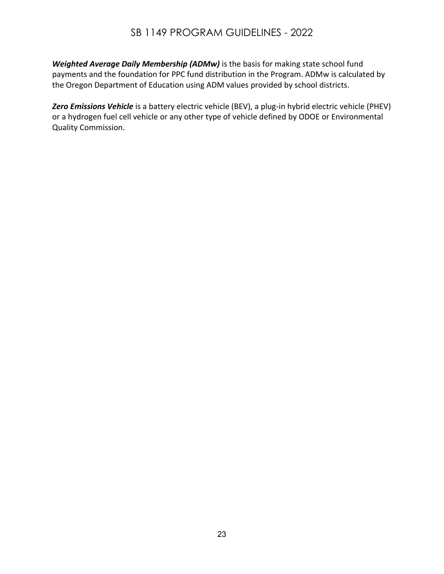*Weighted Average Daily Membership (ADMw)* is the basis for making state school fund payments and the foundation for PPC fund distribution in the Program. ADMw is calculated by the Oregon Department of Education using ADM values provided by school districts.

*Zero Emissions Vehicle* is a battery electric vehicle (BEV), a plug-in hybrid electric vehicle (PHEV) or a hydrogen fuel cell vehicle or any other type of vehicle defined by ODOE or Environmental Quality Commission.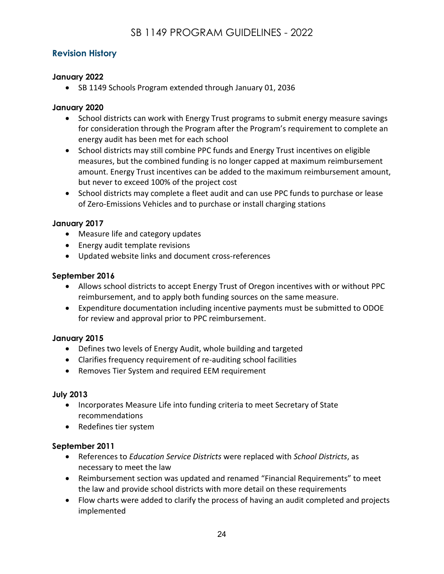### <span id="page-23-0"></span>**Revision History**

### **January 2022**

• SB 1149 Schools Program extended through January 01, 2036

### **January 2020**

- School districts can work with Energy Trust programs to submit energy measure savings for consideration through the Program after the Program's requirement to complete an energy audit has been met for each school
- School districts may still combine PPC funds and Energy Trust incentives on eligible measures, but the combined funding is no longer capped at maximum reimbursement amount. Energy Trust incentives can be added to the maximum reimbursement amount, but never to exceed 100% of the project cost
- School districts may complete a fleet audit and can use PPC funds to purchase or lease of Zero-Emissions Vehicles and to purchase or install charging stations

### **January 2017**

- Measure life and category updates
- Energy audit template revisions
- Updated website links and document cross-references

#### **September 2016**

- Allows school districts to accept Energy Trust of Oregon incentives with or without PPC reimbursement, and to apply both funding sources on the same measure.
- Expenditure documentation including incentive payments must be submitted to ODOE for review and approval prior to PPC reimbursement.

#### **January 2015**

- Defines two levels of Energy Audit, whole building and targeted
- Clarifies frequency requirement of re-auditing school facilities
- Removes Tier System and required EEM requirement

#### **July 2013**

- Incorporates Measure Life into funding criteria to meet Secretary of State recommendations
- Redefines tier system

#### **September 2011**

- References to *Education Service Districts* were replaced with *School Districts*, as necessary to meet the law
- Reimbursement section was updated and renamed "Financial Requirements" to meet the law and provide school districts with more detail on these requirements
- Flow charts were added to clarify the process of having an audit completed and projects implemented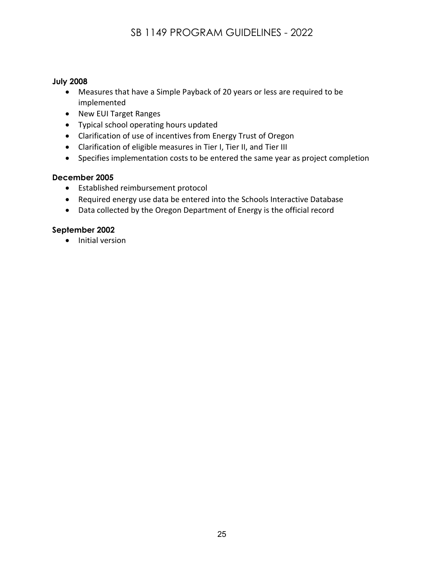#### **July 2008**

- Measures that have a Simple Payback of 20 years or less are required to be implemented
- New EUI Target Ranges
- Typical school operating hours updated
- Clarification of use of incentives from Energy Trust of Oregon
- Clarification of eligible measures in Tier I, Tier II, and Tier III
- Specifies implementation costs to be entered the same year as project completion

#### **December 2005**

- Established reimbursement protocol
- Required energy use data be entered into the Schools Interactive Database
- Data collected by the Oregon Department of Energy is the official record

#### **September 2002**

• Initial version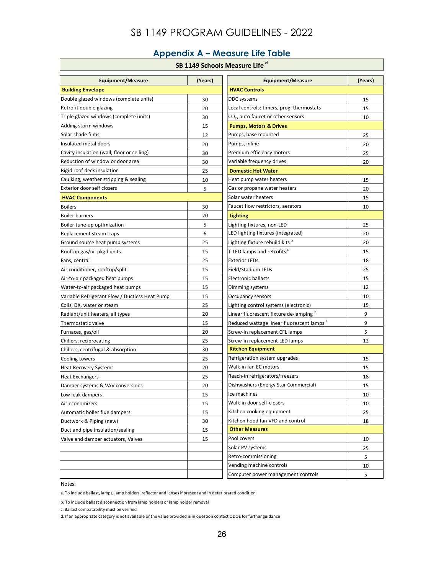## **Appendix A – Measure Life Table**

#### **SB 1149 Schools Measure Life<sup>d</sup>**

<span id="page-25-0"></span>

| <b>Equipment/Measure</b>                       | (Years) | <b>Equipment/Measure</b>                              | (Years) |
|------------------------------------------------|---------|-------------------------------------------------------|---------|
| <b>Building Envelope</b>                       |         | <b>HVAC Controls</b>                                  |         |
| Double glazed windows (complete units)         | 30      | <b>DDC</b> systems                                    | 15      |
| Retrofit double glazing                        | 20      | Local controls: timers, prog. thermostats             | 15      |
| Triple glazed windows (complete units)         | 30      | CO <sub>2</sub> , auto faucet or other sensors        | 10      |
| Adding storm windows                           | 15      | <b>Pumps, Motors &amp; Drives</b>                     |         |
| Solar shade films                              | 12      | Pumps, base mounted                                   | 25      |
| Insulated metal doors                          | 20      | Pumps, inline                                         | 20      |
| Cavity insulation (wall, floor or ceiling)     | 30      | Premium efficiency motors                             | 25      |
| Reduction of window or door area               | 30      | Variable frequency drives                             | 20      |
| Rigid roof deck insulation                     | 25      | <b>Domestic Hot Water</b>                             |         |
| Caulking, weather stripping & sealing          | 10      | Heat pump water heaters                               | 15      |
| Exterior door self closers                     | 5       | Gas or propane water heaters                          | 20      |
| <b>HVAC Components</b>                         |         | Solar water heaters                                   | 15      |
| <b>Boilers</b>                                 | 30      | Faucet flow restrictors, aerators                     | 10      |
| <b>Boiler burners</b>                          | 20      | <b>Lighting</b>                                       |         |
| Boiler tune-up optimization                    | 5       | Lighting fixtures, non-LED                            | 25      |
| Replacement steam traps                        | 6       | LED lighting fixtures (integrated)                    | 20      |
| Ground source heat pump systems                | 25      | Lighting fixture rebuild kits <sup>a</sup>            | 20      |
| Rooftop gas/oil pkgd units                     | 15      | T-LED lamps and retrofits <sup>c</sup>                | 15      |
| Fans, central                                  | 25      | <b>Exterior LEDs</b>                                  | 18      |
| Air conditioner, rooftop/split                 | 15      | Field/Stadium LEDs                                    | 25      |
| Air-to-air packaged heat pumps                 | 15      | Electronic ballasts                                   | 15      |
| Water-to-air packaged heat pumps               | 15      | Dimming systems                                       | 12      |
| Variable Refrigerant Flow / Ductless Heat Pump | 15      | Occupancy sensors                                     | 10      |
| Coils, DX, water or steam                      | 25      | Lighting control systems (electronic)                 | 15      |
| Radiant/unit heaters, all types                | 20      | Linear fluorescent fixture de-lamping b               | 9       |
| Thermostatic valve                             | 15      | Reduced wattage linear fluorescent lamps <sup>c</sup> | 9       |
| Furnaces, gas/oil                              | 20      | Screw-in replacement CFL lamps                        | 5       |
| Chillers, reciprocating                        | 25      | Screw-in replacement LED lamps                        | 12      |
| Chillers, centrifugal & absorption             | 30      | <b>Kitchen Equipment</b>                              |         |
| Cooling towers                                 | 25      | Refrigeration system upgrades                         | 15      |
| <b>Heat Recovery Systems</b>                   | 20      | Walk-in fan EC motors                                 | 15      |
| <b>Heat Exchangers</b>                         | 25      | Reach-in refrigerators/freezers                       | 18      |
| Damper systems & VAV conversions               | 20      | Dishwashers (Energy Star Commercial)                  | 15      |
| Low leak dampers                               | 15      | Ice machines                                          | 10      |
| Air economizers                                | 15      | Walk-in door self-closers                             | 10      |
| Automatic boiler flue dampers                  | 15      | Kitchen cooking equipment                             | 25      |
| Ductwork & Piping (new)                        | 30      | Kitchen hood fan VFD and control                      | 18      |
| Duct and pipe insulation/sealing               | 15      | <b>Other Measures</b>                                 |         |
| Valve and damper actuators, Valves             | 15      | Pool covers                                           | 10      |
|                                                |         | Solar PV systems                                      | 25      |
|                                                |         | Retro-commissioning                                   | 5       |
|                                                |         | Vending machine controls                              | 10      |
|                                                |         | Computer power management controls                    | 5       |

Notes:

a. To include ballast, lamps, lamp holders, reflector and lenses if present and in deteriorated condition

b. To include ballast disconnection from lamp holders or lamp holder removal

c. Ballast compatability must be verified

d. If an appropriate category is not available or the value provided is in question contact ODOE for further guidance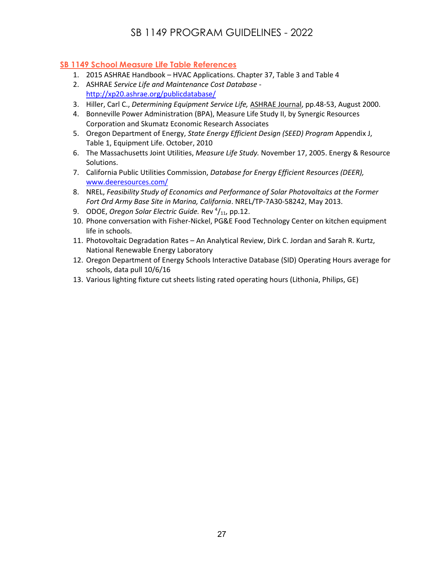#### **SB 1149 School Measure Life Table References**

- 1. 2015 ASHRAE Handbook HVAC Applications. Chapter 37, Table 3 and Table 4
- 2. ASHRAE *Service Life and Maintenance Cost Database*  <http://xp20.ashrae.org/publicdatabase/>
- 3. Hiller, Carl C., *Determining Equipment Service Life,* ASHRAE Journal, pp.48-53, August 2000.
- 4. Bonneville Power Administration (BPA), Measure Life Study II, by Synergic Resources Corporation and Skumatz Economic Research Associates
- 5. Oregon Department of Energy, *State Energy Efficient Design (SEED) Program* Appendix J, Table 1, Equipment Life. October, 2010
- 6. The Massachusetts Joint Utilities, *Measure Life Study.* November 17, 2005. Energy & Resource Solutions.
- 7. California Public Utilities Commission, *Database for Energy Efficient Resources (DEER),*  [www.deeresources.com/](http://www.deeresources.com/)
- 8. NREL, *Feasibility Study of Economics and Performance of Solar Photovoltaics at the Former Fort Ord Army Base Site in Marina, California*. NREL/TP-7A30-58242, May 2013.
- 9. ODOE, *Oregon Solar Electric Guide*. Rev<sup>4</sup>/<sub>11</sub>, pp.12.
- 10. Phone conversation with Fisher-Nickel, PG&E Food Technology Center on kitchen equipment life in schools.
- 11. Photovoltaic Degradation Rates An Analytical Review, Dirk C. Jordan and Sarah R. Kurtz, National Renewable Energy Laboratory
- 12. Oregon Department of Energy Schools Interactive Database (SID) Operating Hours average for schools, data pull 10/6/16
- 13. Various lighting fixture cut sheets listing rated operating hours (Lithonia, Philips, GE)